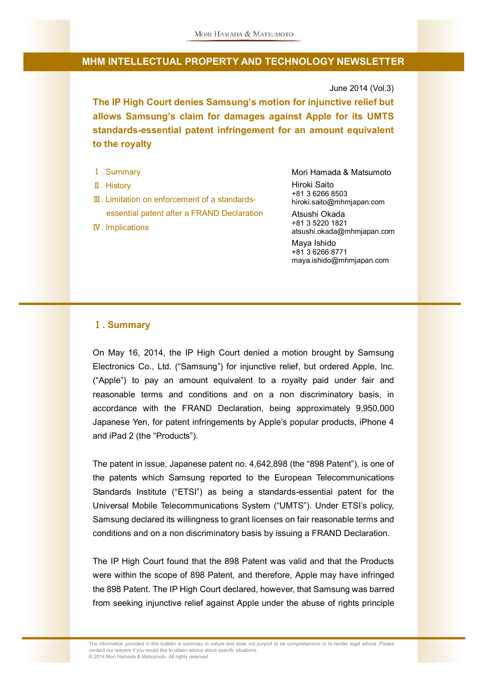June 2014 (Vol.3)

**The IP High Court denies Samsung's motion for injunctive relief but allows Samsung's claim for damages against Apple for its UMTS standards-essential patent infringement for an amount equivalent to the royalty**

- Ⅰ. Summary
- Ⅱ. History
- Ⅲ. Limitation on enforcement of a standardsessential patent after a FRAND Declaration
- Ⅳ. Implications

Mori Hamada & Matsumoto Hiroki Saito +81 3 6266 8503 hiroki.saito@mhmjapan.com Atsushi Okada +81 3 5220 1821 atsushi.okada@mhmjapan.com Maya Ishido +81 3 6266 8771 maya.ishido@mhmjapan.com

#### Ⅰ**. Summary**

On May 16, 2014, the IP High Court denied a motion brought by Samsung Electronics Co., Ltd. ("Samsung") for injunctive relief, but ordered Apple, Inc. ("Apple") to pay an amount equivalent to a royalty paid under fair and reasonable terms and conditions and on a non discriminatory basis, in accordance with the FRAND Declaration, being approximately 9,950,000 Japanese Yen, for patent infringements by Apple's popular products, iPhone 4 and iPad 2 (the "Products").

The patent in issue, Japanese patent no. 4,642,898 (the "898 Patent"), is one of the patents which Samsung reported to the European Telecommunications Standards Institute ("ETSI") as being a standards-essential patent for the Universal Mobile Telecommunications System ("UMTS"). Under ETSI's policy, Samsung declared its willingness to grant licenses on fair reasonable terms and conditions and on a non discriminatory basis by issuing a FRAND Declaration.

The IP High Court found that the 898 Patent was valid and that the Products were within the scope of 898 Patent, and therefore, Apple may have infringed the 898 Patent. The IP High Court declared, however, that Samsung was barred from seeking injunctive relief against Apple under the abuse of rights principle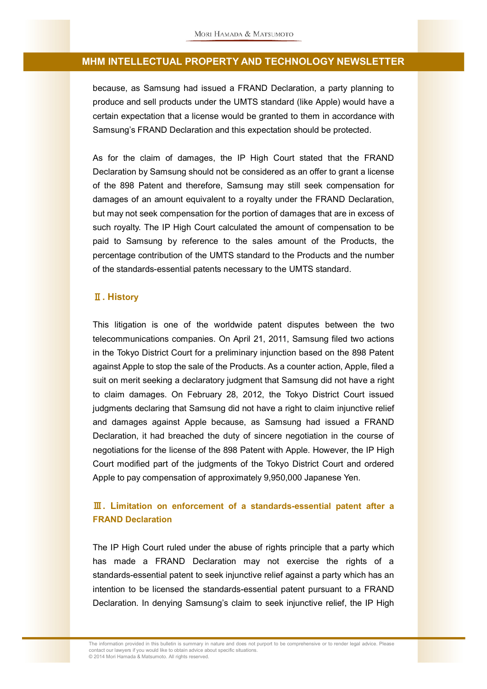because, as Samsung had issued a FRAND Declaration, a party planning to produce and sell products under the UMTS standard (like Apple) would have a certain expectation that a license would be granted to them in accordance with Samsung's FRAND Declaration and this expectation should be protected.

As for the claim of damages, the IP High Court stated that the FRAND Declaration by Samsung should not be considered as an offer to grant a license of the 898 Patent and therefore, Samsung may still seek compensation for damages of an amount equivalent to a royalty under the FRAND Declaration, but may not seek compensation for the portion of damages that are in excess of such royalty. The IP High Court calculated the amount of compensation to be paid to Samsung by reference to the sales amount of the Products, the percentage contribution of the UMTS standard to the Products and the number of the standards-essential patents necessary to the UMTS standard.

#### Ⅱ**. History**

This litigation is one of the worldwide patent disputes between the two telecommunications companies. On April 21, 2011, Samsung filed two actions in the Tokyo District Court for a preliminary injunction based on the 898 Patent against Apple to stop the sale of the Products. As a counter action, Apple, filed a suit on merit seeking a declaratory judgment that Samsung did not have a right to claim damages. On February 28, 2012, the Tokyo District Court issued judgments declaring that Samsung did not have a right to claim injunctive relief and damages against Apple because, as Samsung had issued a FRAND Declaration, it had breached the duty of sincere negotiation in the course of negotiations for the license of the 898 Patent with Apple. However, the IP High Court modified part of the judgments of the Tokyo District Court and ordered Apple to pay compensation of approximately 9,950,000 Japanese Yen.

# Ⅲ**. Limitation on enforcement of a standards-essential patent after a FRAND Declaration**

The IP High Court ruled under the abuse of rights principle that a party which has made a FRAND Declaration may not exercise the rights of a standards-essential patent to seek injunctive relief against a party which has an intention to be licensed the standards-essential patent pursuant to a FRAND Declaration. In denying Samsung's claim to seek injunctive relief, the IP High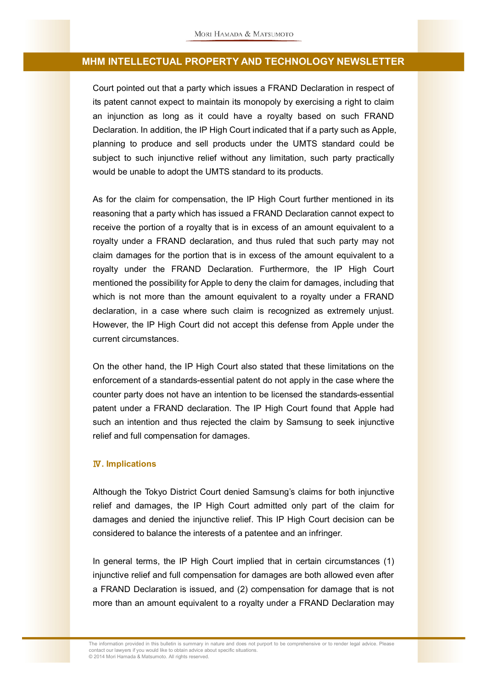Court pointed out that a party which issues a FRAND Declaration in respect of its patent cannot expect to maintain its monopoly by exercising a right to claim an injunction as long as it could have a royalty based on such FRAND Declaration. In addition, the IP High Court indicated that if a party such as Apple, planning to produce and sell products under the UMTS standard could be subject to such injunctive relief without any limitation, such party practically would be unable to adopt the UMTS standard to its products.

As for the claim for compensation, the IP High Court further mentioned in its reasoning that a party which has issued a FRAND Declaration cannot expect to receive the portion of a royalty that is in excess of an amount equivalent to a royalty under a FRAND declaration, and thus ruled that such party may not claim damages for the portion that is in excess of the amount equivalent to a royalty under the FRAND Declaration. Furthermore, the IP High Court mentioned the possibility for Apple to deny the claim for damages, including that which is not more than the amount equivalent to a royalty under a FRAND declaration, in a case where such claim is recognized as extremely unjust. However, the IP High Court did not accept this defense from Apple under the current circumstances.

On the other hand, the IP High Court also stated that these limitations on the enforcement of a standards-essential patent do not apply in the case where the counter party does not have an intention to be licensed the standards-essential patent under a FRAND declaration. The IP High Court found that Apple had such an intention and thus rejected the claim by Samsung to seek injunctive relief and full compensation for damages.

#### Ⅳ**. Implications**

Although the Tokyo District Court denied Samsung's claims for both injunctive relief and damages, the IP High Court admitted only part of the claim for damages and denied the injunctive relief. This IP High Court decision can be considered to balance the interests of a patentee and an infringer.

In general terms, the IP High Court implied that in certain circumstances (1) injunctive relief and full compensation for damages are both allowed even after a FRAND Declaration is issued, and (2) compensation for damage that is not more than an amount equivalent to a royalty under a FRAND Declaration may